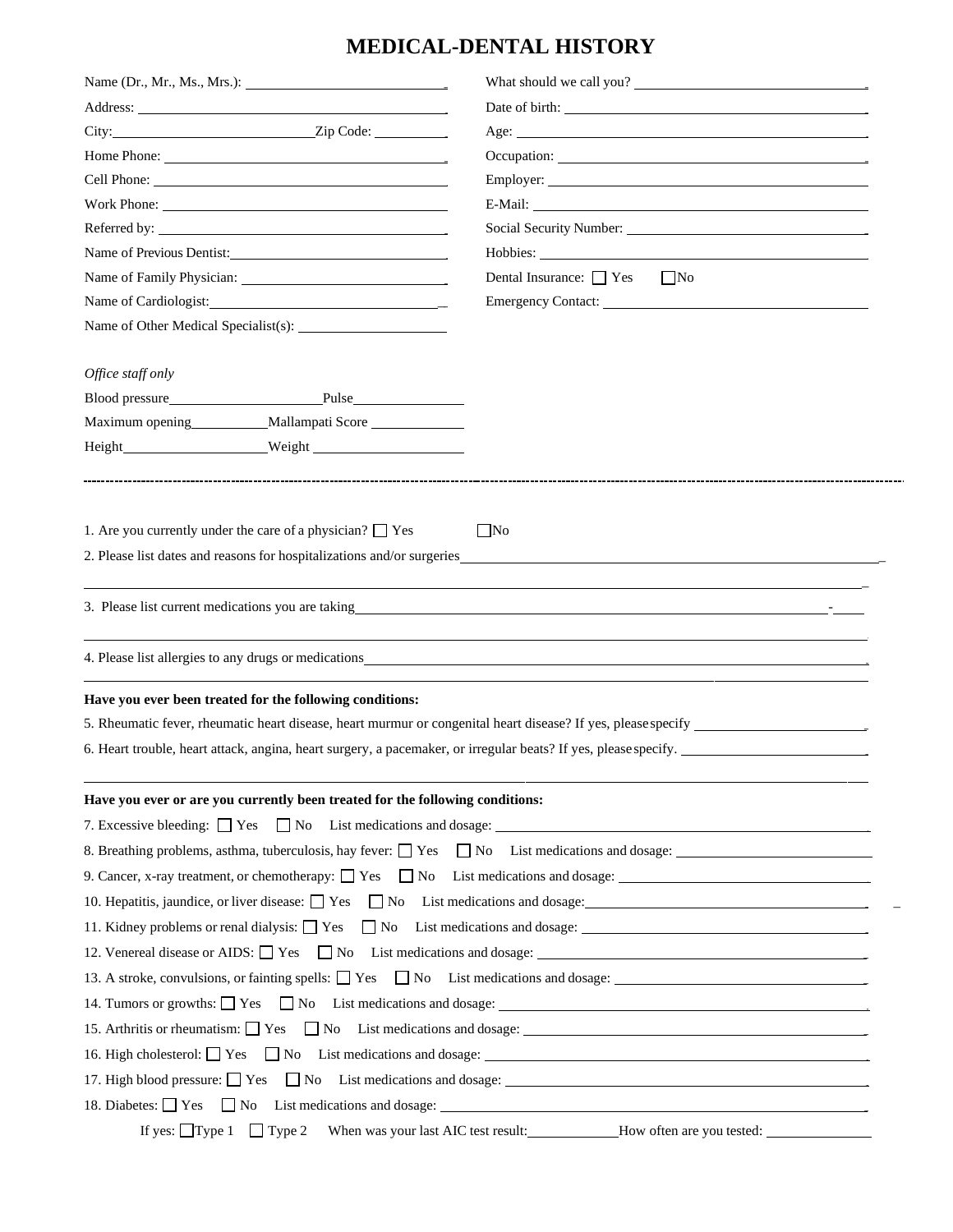## **MEDICAL-DENTAL HISTORY**

|                                                                                                           | City: <u>City:</u> City: <u>City:</u> Code:                                   |                                                                                                                                                                                                                                                                                                          |                   |                                                           |  |
|-----------------------------------------------------------------------------------------------------------|-------------------------------------------------------------------------------|----------------------------------------------------------------------------------------------------------------------------------------------------------------------------------------------------------------------------------------------------------------------------------------------------------|-------------------|-----------------------------------------------------------|--|
| Name of Previous Dentist:<br>Name of Cardiologist:                                                        |                                                                               |                                                                                                                                                                                                                                                                                                          |                   |                                                           |  |
|                                                                                                           |                                                                               | Social Security Number: 2008 2010 2010 2010 2010 2010 2011 2012 2013 2014 2016 2017 2018 2019 2010 2011 2012 20<br>Dental Insurance: $\Box$ Yes $\Box$ No                                                                                                                                                |                   |                                                           |  |
|                                                                                                           |                                                                               |                                                                                                                                                                                                                                                                                                          |                   |                                                           |  |
|                                                                                                           |                                                                               |                                                                                                                                                                                                                                                                                                          | Office staff only |                                                           |  |
|                                                                                                           |                                                                               |                                                                                                                                                                                                                                                                                                          |                   | Blood pressure<br>Pulse<br>Pulse                          |  |
|                                                                                                           |                                                                               |                                                                                                                                                                                                                                                                                                          |                   | Maximum opening __________ Mallampati Score _____________ |  |
|                                                                                                           |                                                                               |                                                                                                                                                                                                                                                                                                          |                   |                                                           |  |
|                                                                                                           |                                                                               | 2. Please list dates and reasons for hospitalizations and/or surgeries<br>3. Please list current medications you are taking the contract of the contract of the contract of the contract of the contract of the contract of the contract of the contract of the contract of the contract of the contract |                   |                                                           |  |
|                                                                                                           |                                                                               | 4. Please list allergies to any drugs or medications example of the state of the state of the state of the state of the state of the state of the state of the state of the state of the state of the state of the state of th                                                                           |                   |                                                           |  |
|                                                                                                           | Have you ever been treated for the following conditions:                      |                                                                                                                                                                                                                                                                                                          |                   |                                                           |  |
|                                                                                                           |                                                                               |                                                                                                                                                                                                                                                                                                          |                   |                                                           |  |
|                                                                                                           |                                                                               | 6. Heart trouble, heart attack, angina, heart surgery, a pacemaker, or irregular beats? If yes, please specify.                                                                                                                                                                                          |                   |                                                           |  |
|                                                                                                           |                                                                               |                                                                                                                                                                                                                                                                                                          |                   |                                                           |  |
|                                                                                                           | Have you ever or are you currently been treated for the following conditions: |                                                                                                                                                                                                                                                                                                          |                   |                                                           |  |
|                                                                                                           |                                                                               |                                                                                                                                                                                                                                                                                                          |                   |                                                           |  |
| 8. Breathing problems, asthma, tuberculosis, hay fever: $\Box$ Yes $\Box$ No List medications and dosage: |                                                                               |                                                                                                                                                                                                                                                                                                          |                   |                                                           |  |
|                                                                                                           |                                                                               |                                                                                                                                                                                                                                                                                                          |                   |                                                           |  |
|                                                                                                           |                                                                               | 10. Hepatitis, jaundice, or liver disease: $\Box$ Yes $\Box$ No List medications and dosage:                                                                                                                                                                                                             |                   |                                                           |  |
|                                                                                                           |                                                                               | 11. Kidney problems or renal dialysis: $\Box$ Yes $\Box$ No List medications and dosage:                                                                                                                                                                                                                 |                   |                                                           |  |
|                                                                                                           |                                                                               | 12. Venereal disease or AIDS: $\Box$ Yes $\Box$ No List medications and dosage: $\Box$                                                                                                                                                                                                                   |                   |                                                           |  |
|                                                                                                           |                                                                               | 13. A stroke, convulsions, or fainting spells: $\Box$ Yes $\Box$ No List medications and dosage:                                                                                                                                                                                                         |                   |                                                           |  |
|                                                                                                           |                                                                               |                                                                                                                                                                                                                                                                                                          |                   |                                                           |  |
|                                                                                                           |                                                                               | 15. Arthritis or rheumatism: $\Box$ Yes $\Box$ No List medications and dosage: $\Box$                                                                                                                                                                                                                    |                   |                                                           |  |
|                                                                                                           |                                                                               | 16. High cholesterol: $\Box$ Yes $\Box$ No List medications and dosage: $\Box$                                                                                                                                                                                                                           |                   |                                                           |  |
|                                                                                                           |                                                                               | 17. High blood pressure: $\Box$ Yes $\Box$ No List medications and dosage: $\Box$                                                                                                                                                                                                                        |                   |                                                           |  |
|                                                                                                           |                                                                               | 18. Diabetes: $\Box$ Yes $\Box$ No List medications and dosage: $\Box$                                                                                                                                                                                                                                   |                   |                                                           |  |
|                                                                                                           |                                                                               |                                                                                                                                                                                                                                                                                                          |                   |                                                           |  |